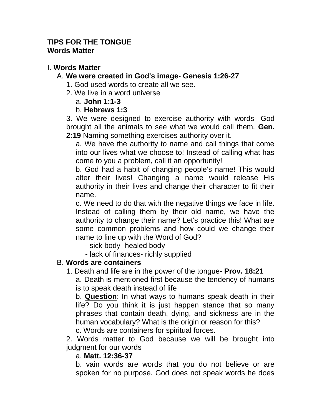#### **TIPS FOR THE TONGUE Words Matter**

# I. **Words Matter**

## A. **We were created in God's image**- **Genesis 1:26-27**

- 1. God used words to create all we see.
- 2. We live in a word universe

### a. **John 1:1-3**

## b. **Hebrews 1:3**

3. We were designed to exercise authority with words- God brought all the animals to see what we would call them. **Gen. 2:19** Naming something exercises authority over it.

a. We have the authority to name and call things that come into our lives what we choose to! Instead of calling what has come to you a problem, call it an opportunity!

b. God had a habit of changing people's name! This would alter their lives! Changing a name would release His authority in their lives and change their character to fit their name.

c. We need to do that with the negative things we face in life. Instead of calling them by their old name, we have the authority to change their name? Let's practice this! What are some common problems and how could we change their name to line up with the Word of God?

- sick body- healed body
- lack of finances- richly supplied

# B. **Words are containers**

1. Death and life are in the power of the tongue- **Prov. 18:21**

a. Death is mentioned first because the tendency of humans is to speak death instead of life

b. **Question**: In what ways to humans speak death in their life? Do you think it is just happen stance that so many phrases that contain death, dying, and sickness are in the human vocabulary? What is the origin or reason for this? c. Words are containers for spiritual forces.

2. Words matter to God because we will be brought into judgment for our words

#### a. **Matt. 12:36-37**

b. vain words are words that you do not believe or are spoken for no purpose. God does not speak words he does